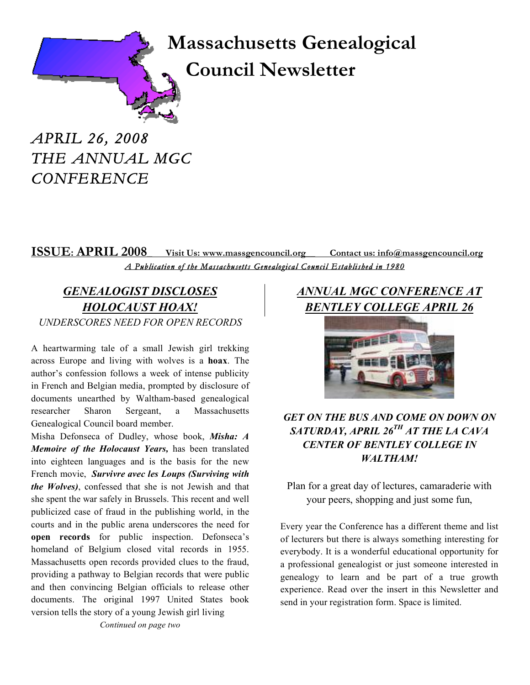# **Massachusetts Genealogical Council Newsletter**

*APRIL 26, 2008 THE ANNUAL MGC CONFERENCE* 

## **ISSUE: APRIL 2008** Visit Us: www.massgencouncil.org Contact us: info@massgencouncil.org *A Publication of the Massachusetts Genealogical Council Established in 1980*

## *GENEALOGIST DISCLOSES HOLOCAUST HOAX! UNDERSCORES NEED FOR OPEN RECORDS*

A heartwarming tale of a small Jewish girl trekking across Europe and living with wolves is a **hoax**. The author's confession follows a week of intense publicity in French and Belgian media, prompted by disclosure of documents unearthed by Waltham-based genealogical researcher Sharon Sergeant, a Massachusetts Genealogical Council board member.

Misha Defonseca of Dudley, whose book, *Misha: A Memoire of the Holocaust Years,* has been translated into eighteen languages and is the basis for the new French movie, *Survivre avec les Loups (Surviving with the Wolves)*, confessed that she is not Jewish and that she spent the war safely in Brussels. This recent and well publicized case of fraud in the publishing world, in the courts and in the public arena underscores the need for **open records** for public inspection. Defonseca's homeland of Belgium closed vital records in 1955. Massachusetts open records provided clues to the fraud, providing a pathway to Belgian records that were public and then convincing Belgian officials to release other documents. The original 1997 United States book version tells the story of a young Jewish girl living *Continued on page two*

## *ANNUAL MGC CONFERENCE AT BENTLEY COLLEGE APRIL 26*



### *GET ON THE BUS AND COME ON DOWN ON SATURDAY, APRIL 26TH AT THE LA CAVA CENTER OF BENTLEY COLLEGE IN WALTHAM!*

Plan for a great day of lectures, camaraderie with your peers, shopping and just some fun,

Every year the Conference has a different theme and list of lecturers but there is always something interesting for everybody. It is a wonderful educational opportunity for a professional genealogist or just someone interested in genealogy to learn and be part of a true growth experience. Read over the insert in this Newsletter and send in your registration form. Space is limited.